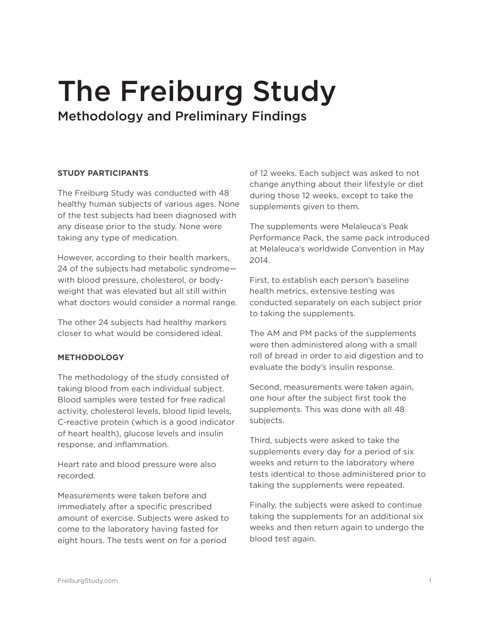# The Freiburg Study Methodology and Preliminary Findings

## **STUDY PARTICIPANTS**

The Freiburg Study was conducted with 48 healthy human subjects of various ages. None of the test subjects had been diagnosed with any disease prior to the study. None were taking any type of medication.

However, according to their health markers, 24 of the subjects had metabolic syndrome with blood pressure, cholesterol, or bodyweight that was elevated but all still within what doctors would consider a normal range.

The other 24 subjects had healthy markers closer to what would be considered ideal.

# **METHODOLOGY**

The methodology of the study consisted of taking blood from each individual subject. Blood samples were tested for free radical activity, cholesterol levels, blood lipid levels, C-reactive protein (which is a good indicator of heart health), glucose levels and insulin response, and inflammation.

Heart rate and blood pressure were also recorded.

Measurements were taken before and immediately after a specific prescribed amount of exercise. Subjects were asked to come to the laboratory having fasted for eight hours. The tests went on for a period

of 12 weeks. Each subject was asked to not change anything about their lifestyle or diet during those 12 weeks, except to take the supplements given to them.

The supplements were Melaleuca's Peak Performance Pack, the same pack introduced at Melaleuca's worldwide Convention in May 2014.

First, to establish each person's baseline health metrics, extensive testing was conducted separately on each subject prior to taking the supplements.

The AM and PM packs of the supplements were then administered along with a small roll of bread in order to aid digestion and to evaluate the body's insulin response.

Second, measurements were taken again, one hour after the subject first took the supplements. This was done with all 48 subjects.

Third, subjects were asked to take the supplements every day for a period of six weeks and return to the laboratory where tests identical to those administered prior to taking the supplements were repeated.

Finally, the subjects were asked to continue taking the supplements for an additional six weeks and then return again to undergo the blood test again.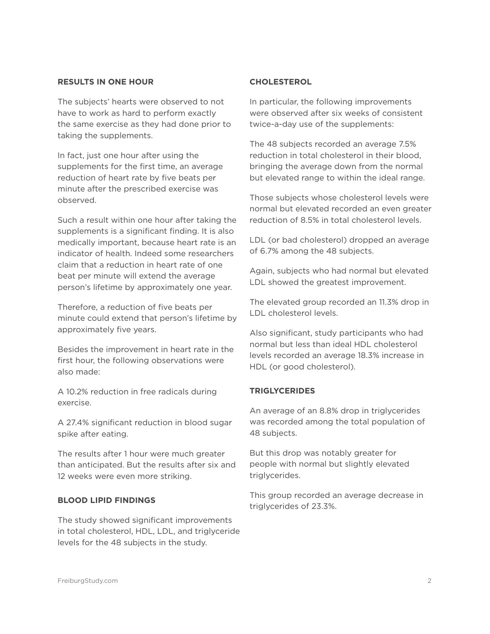#### **RESULTS IN ONE HOUR**

The subjects' hearts were observed to not have to work as hard to perform exactly the same exercise as they had done prior to taking the supplements.

In fact, just one hour after using the supplements for the first time, an average reduction of heart rate by five beats per minute after the prescribed exercise was observed.

Such a result within one hour after taking the supplements is a significant finding. It is also medically important, because heart rate is an indicator of health. Indeed some researchers claim that a reduction in heart rate of one beat per minute will extend the average person's lifetime by approximately one year.

Therefore, a reduction of five beats per minute could extend that person's lifetime by approximately five years.

Besides the improvement in heart rate in the first hour, the following observations were also made:

A 10.2% reduction in free radicals during exercise.

A 27.4% significant reduction in blood sugar spike after eating.

The results after 1 hour were much greater than anticipated. But the results after six and 12 weeks were even more striking.

#### **BLOOD LIPID FINDINGS**

The study showed significant improvements in total cholesterol, HDL, LDL, and triglyceride levels for the 48 subjects in the study.

#### **CHOLESTEROL**

In particular, the following improvements were observed after six weeks of consistent twice-a-day use of the supplements:

The 48 subjects recorded an average 7.5% reduction in total cholesterol in their blood, bringing the average down from the normal but elevated range to within the ideal range.

Those subjects whose cholesterol levels were normal but elevated recorded an even greater reduction of 8.5% in total cholesterol levels.

LDL (or bad cholesterol) dropped an average of 6.7% among the 48 subjects.

Again, subjects who had normal but elevated LDL showed the greatest improvement.

The elevated group recorded an 11.3% drop in LDL cholesterol levels.

Also significant, study participants who had normal but less than ideal HDL cholesterol levels recorded an average 18.3% increase in HDL (or good cholesterol).

#### **TRIGLYCERIDES**

An average of an 8.8% drop in triglycerides was recorded among the total population of 48 subjects.

But this drop was notably greater for people with normal but slightly elevated triglycerides.

This group recorded an average decrease in triglycerides of 23.3%.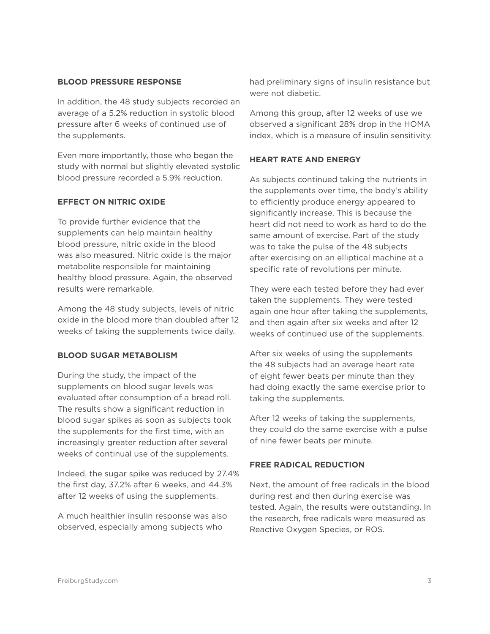## **BLOOD PRESSURE RESPONSE**

In addition, the 48 study subjects recorded an average of a 5.2% reduction in systolic blood pressure after 6 weeks of continued use of the supplements.

Even more importantly, those who began the study with normal but slightly elevated systolic blood pressure recorded a 5.9% reduction.

# **EFFECT ON NITRIC OXIDE**

To provide further evidence that the supplements can help maintain healthy blood pressure, nitric oxide in the blood was also measured. Nitric oxide is the major metabolite responsible for maintaining healthy blood pressure. Again, the observed results were remarkable.

Among the 48 study subjects, levels of nitric oxide in the blood more than doubled after 12 weeks of taking the supplements twice daily.

### **BLOOD SUGAR METABOLISM**

During the study, the impact of the supplements on blood sugar levels was evaluated after consumption of a bread roll. The results show a significant reduction in blood sugar spikes as soon as subjects took the supplements for the first time, with an increasingly greater reduction after several weeks of continual use of the supplements.

Indeed, the sugar spike was reduced by 27.4% the first day, 37.2% after 6 weeks, and 44.3% after 12 weeks of using the supplements.

A much healthier insulin response was also observed, especially among subjects who

had preliminary signs of insulin resistance but were not diabetic.

Among this group, after 12 weeks of use we observed a significant 28% drop in the HOMA index, which is a measure of insulin sensitivity.

## **HEART RATE AND ENERGY**

As subjects continued taking the nutrients in the supplements over time, the body's ability to efficiently produce energy appeared to significantly increase. This is because the heart did not need to work as hard to do the same amount of exercise. Part of the study was to take the pulse of the 48 subjects after exercising on an elliptical machine at a specific rate of revolutions per minute.

They were each tested before they had ever taken the supplements. They were tested again one hour after taking the supplements, and then again after six weeks and after 12 weeks of continued use of the supplements.

After six weeks of using the supplements the 48 subjects had an average heart rate of eight fewer beats per minute than they had doing exactly the same exercise prior to taking the supplements.

After 12 weeks of taking the supplements, they could do the same exercise with a pulse of nine fewer beats per minute.

# **FREE RADICAL REDUCTION**

Next, the amount of free radicals in the blood during rest and then during exercise was tested. Again, the results were outstanding. In the research, free radicals were measured as Reactive Oxygen Species, or ROS.